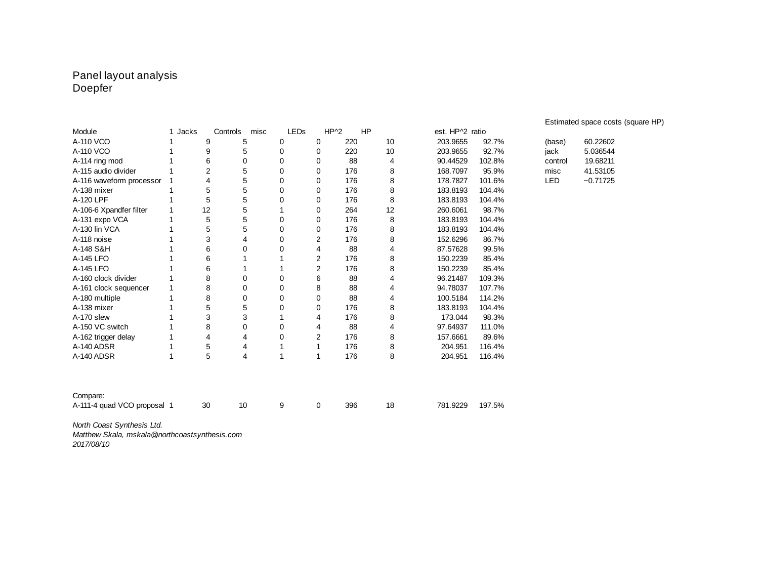#### Panel layout analysis Doepfer

|                             |              |                |                  |              |                |     |    |                 |        |            | Estimated space costs (square HP) |
|-----------------------------|--------------|----------------|------------------|--------------|----------------|-----|----|-----------------|--------|------------|-----------------------------------|
| Module                      | 1 Jacks      |                | Controls<br>misc | LEDS         | $HP^2$         |     | HP | est. HP^2 ratio |        |            |                                   |
| A-110 VCO                   | 1            | 9              | 5                | 0            | 0              | 220 | 10 | 203.9655        | 92.7%  | (base)     | 60.22602                          |
| A-110 VCO                   | 1            | 9              | 5                | 0            | 0              | 220 | 10 | 203.9655        | 92.7%  | jack       | 5.036544                          |
| A-114 ring mod              | 1            | 6              | 0                | 0            | 0              | 88  | 4  | 90.44529        | 102.8% | control    | 19.68211                          |
| A-115 audio divider         |              | $\overline{2}$ | 5                | 0            | $\Omega$       | 176 | 8  | 168.7097        | 95.9%  | misc       | 41.53105                          |
| A-116 waveform processor    | 1            | Δ              | 5                | 0            | 0              | 176 | 8  | 178.7827        | 101.6% | <b>LED</b> | $-0.71725$                        |
| A-138 mixer                 | 1            | 5              | 5                | 0            | 0              | 176 | 8  | 183.8193        | 104.4% |            |                                   |
| A-120 LPF                   | 1            | 5              | 5                | 0            | 0              | 176 | 8  | 183.8193        | 104.4% |            |                                   |
| A-106-6 Xpandfer filter     | 1            | 12             | 5                | $\mathbf{1}$ | 0              | 264 | 12 | 260.6061        | 98.7%  |            |                                   |
| A-131 expo VCA              | 1            | $\mathbf 5$    | 5                | 0            | 0              | 176 | 8  | 183.8193        | 104.4% |            |                                   |
| A-130 lin VCA               |              | 5              | 5                | 0            | 0              | 176 | 8  | 183.8193        | 104.4% |            |                                   |
| A-118 noise                 | 1            | 3              | 4                | 0            | 2              | 176 | 8  | 152.6296        | 86.7%  |            |                                   |
| A-148 S&H                   | 1            | 6              | $\mathbf 0$      | 0            | 4              | 88  | 4  | 87.57628        | 99.5%  |            |                                   |
| A-145 LFO                   | 1            | 6              | 1                | 1            | $\overline{c}$ | 176 | 8  | 150.2239        | 85.4%  |            |                                   |
| A-145 LFO                   | 1            | 6              | 1                | $\mathbf{1}$ | 2              | 176 | 8  | 150.2239        | 85.4%  |            |                                   |
| A-160 clock divider         | $\mathbf{1}$ | 8              | $\Omega$         | 0            | 6              | 88  | 4  | 96.21487        | 109.3% |            |                                   |
| A-161 clock sequencer       | 1            | 8              | 0                | 0            | 8              | 88  | 4  | 94.78037        | 107.7% |            |                                   |
| A-180 multiple              | 1            | 8              | 0                | 0            | 0              | 88  | 4  | 100.5184        | 114.2% |            |                                   |
| A-138 mixer                 | 1            | 5              | 5                | 0            | 0              | 176 | 8  | 183.8193        | 104.4% |            |                                   |
| A-170 slew                  | $\mathbf{1}$ | 3              | 3                | $\mathbf{1}$ | 4              | 176 | 8  | 173.044         | 98.3%  |            |                                   |
| A-150 VC switch             | 1            | 8              | 0                | 0            | $\overline{4}$ | 88  | 4  | 97.64937        | 111.0% |            |                                   |
| A-162 trigger delay         | $\mathbf{1}$ | 4              | 4                | 0            | 2              | 176 | 8  | 157.6661        | 89.6%  |            |                                   |
| A-140 ADSR                  | 1            | 5              | 4                | 1            | 1              | 176 | 8  | 204.951         | 116.4% |            |                                   |
| A-140 ADSR                  | $\mathbf{1}$ | 5              | 4                | $\mathbf{1}$ | 1              | 176 | 8  | 204.951         | 116.4% |            |                                   |
|                             |              |                |                  |              |                |     |    |                 |        |            |                                   |
| Compare:                    |              |                |                  |              |                |     |    |                 |        |            |                                   |
| A-111-4 quad VCO proposal 1 |              | 30             | 10               | 9            | 0              | 396 | 18 | 781.9229        | 197.5% |            |                                   |
| North Coast Synthesis Ltd.  |              |                |                  |              |                |     |    |                 |        |            |                                   |

*Matthew Skala, mskala@northcoastsynthesis.com*

*2017/08/10*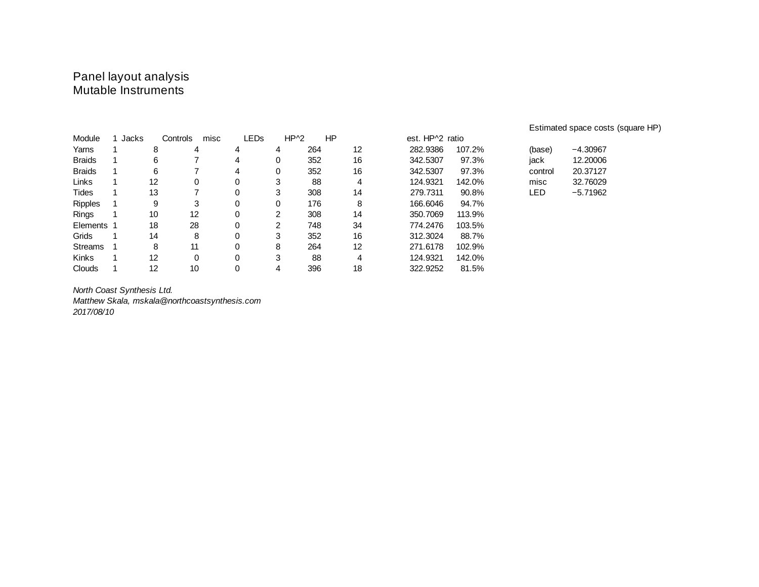### Panel layout analysis Mutable Instruments

| Module         | 1 Jacks |    | Controls<br>misc | LEDs |   | $HP^2$ | HP | est. HP^2 ratio                               |
|----------------|---------|----|------------------|------|---|--------|----|-----------------------------------------------|
| Yarns          |         | 8  | 4                | 4    | 4 | 264    | 12 | 282.9386<br>107.2%<br>$-4.30967$<br>(base)    |
| <b>Braids</b>  |         | 6  |                  | 4    | 0 | 352    | 16 | 12.20006<br>342.5307<br>97.3%<br>jack         |
| <b>Braids</b>  |         | 6  |                  | 4    | 0 | 352    | 16 | 97.3%<br>342.5307<br>20.37127<br>control      |
| Links          |         | 12 | 0                | 0    | 3 | 88     | 4  | 124.9321<br>142.0%<br>32.76029<br>misc        |
| Tides          |         | 13 |                  | 0    | 3 | 308    | 14 | 279.7311<br>90.8%<br><b>LED</b><br>$-5.71962$ |
| <b>Ripples</b> |         | 9  | 3                | 0    | 0 | 176    | 8  | 166.6046<br>94.7%                             |
| <b>Rings</b>   |         | 10 | 12               | 0    | 2 | 308    | 14 | 350.7069<br>113.9%                            |
| Elements 1     |         | 18 | 28               | 0    | 2 | 748    | 34 | 774.2476<br>103.5%                            |
| Grids          |         | 14 | 8                | 0    | 3 | 352    | 16 | 312.3024<br>88.7%                             |
| Streams        |         | 8  | 11               | 0    | 8 | 264    | 12 | 271.6178<br>102.9%                            |
| <b>Kinks</b>   |         | 12 | 0                | 0    | 3 | 88     | 4  | 124.9321<br>142.0%                            |
| Clouds         |         | 12 | 10               | 0    | 4 | 396    | 18 | 322.9252<br>81.5%                             |

*North Coast Synthesis Ltd. Matthew Skala, mskala@northcoastsynthesis.com 2017/08/10*

Estimated space costs (square HP)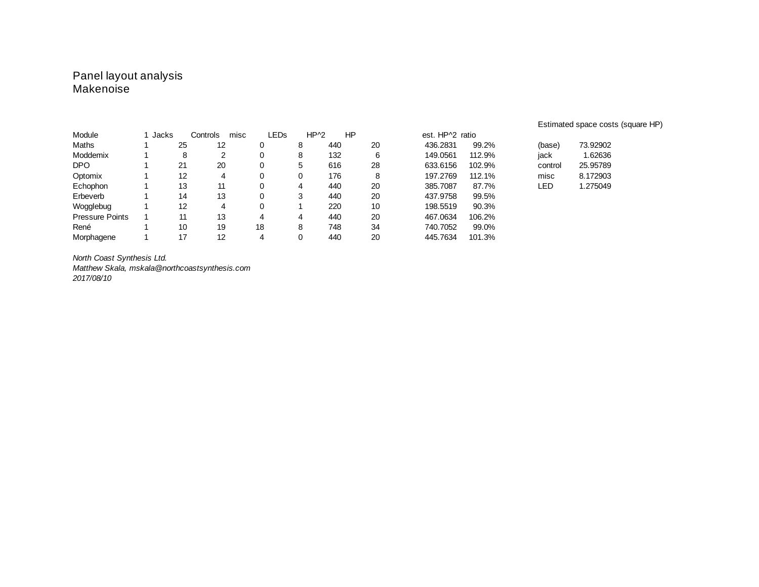## Panel layout analysis Makenoise

|                        |         |    |                  |    |                       |     |    |                 |        | Estimated space costs (square HP) |
|------------------------|---------|----|------------------|----|-----------------------|-----|----|-----------------|--------|-----------------------------------|
| Module                 | 1 Jacks |    | Controls<br>misc |    | $HP^2$<br><b>LEDS</b> |     | HP | est. HP^2 ratio |        |                                   |
| Maths                  |         | 25 | 12               |    | 8                     | 440 | 20 | 436.2831        | 99.2%  | 73.92902<br>(base)                |
| Moddemix               |         | 8  |                  |    | 8                     | 132 | 6  | 149.0561        | 112.9% | 1.62636<br>jack                   |
| <b>DPO</b>             |         | 21 | 20               |    | 5                     | 616 | 28 | 633.6156        | 102.9% | 25.95789<br>control               |
| Optomix                |         | 12 | 4                |    |                       | 176 | 8  | 197.2769        | 112.1% | 8.172903<br>misc                  |
| Echophon               |         | 13 | 11               |    | 4                     | 440 | 20 | 385.7087        | 87.7%  | 1.275049<br>LED                   |
| Erbeverb               |         | 14 | 13               |    | 3                     | 440 | 20 | 437.9758        | 99.5%  |                                   |
| Wogglebug              |         | 12 | 4                |    |                       | 220 | 10 | 198.5519        | 90.3%  |                                   |
| <b>Pressure Points</b> |         | 11 | 13               | 4  | 4                     | 440 | 20 | 467.0634        | 106.2% |                                   |
| René                   |         | 10 | 19               | 18 | 8                     | 748 | 34 | 740.7052        | 99.0%  |                                   |
| Morphagene             |         | 17 | 12               | 4  |                       | 440 | 20 | 445.7634        | 101.3% |                                   |

*North Coast Synthesis Ltd.*

*Matthew Skala, mskala@northcoastsynthesis.com 2017/08/10*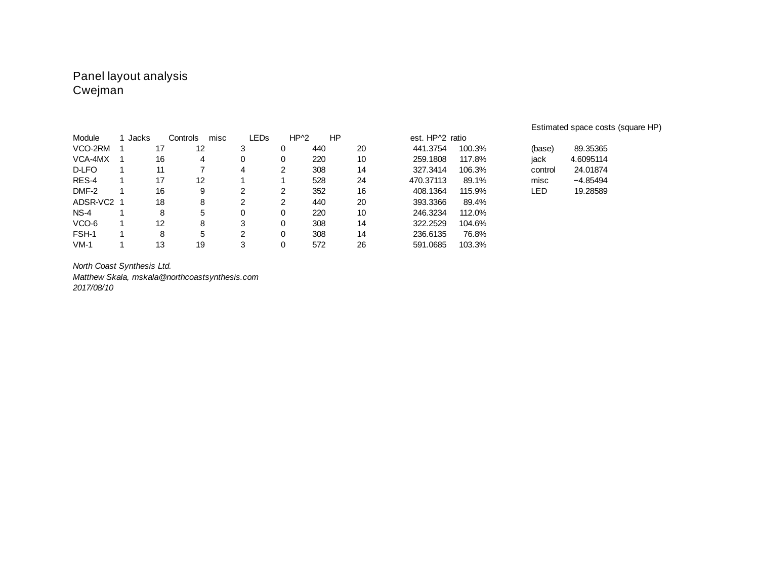### Panel layout analysis Cwejman

| Module     | 1 Jacks |    | Controls<br>misc | LEDs |   | $HP^2$ | HP | est. HP <sup>^2</sup> ratio |        |         |            |
|------------|---------|----|------------------|------|---|--------|----|-----------------------------|--------|---------|------------|
| VCO-2RM    |         | 17 | 12               | 3    | 0 | 440    | 20 | 441,3754                    | 100.3% | (base)  | 89.35365   |
| VCA-4MX    |         | 16 | 4                | 0    | 0 | 220    | 10 | 259,1808                    | 117.8% | jack    | 4.6095114  |
| D-LFO      |         | 11 |                  | 4    | 2 | 308    | 14 | 327.3414                    | 106.3% | control | 24.01874   |
| RES-4      |         | 17 | 12               |      |   | 528    | 24 | 470.37113                   | 89.1%  | misc    | $-4.85494$ |
| DMF-2      |         | 16 | 9                | ົ    | າ | 352    | 16 | 408.1364                    | 115.9% | LED     | 19.28589   |
| ADSR-VC2 1 |         | 18 | 8                | ົ    | 2 | 440    | 20 | 393.3366                    | 89.4%  |         |            |
| $NS-4$     |         | 8  | 5                | 0    | 0 | 220    | 10 | 246.3234                    | 112.0% |         |            |
| VCO-6      |         | 12 | 8                | 3    | 0 | 308    | 14 | 322.2529                    | 104.6% |         |            |
| FSH-1      |         | 8  | 5                | っ    | 0 | 308    | 14 | 236.6135                    | 76.8%  |         |            |
| $VM-1$     |         | 13 | 19               | 3    | 0 | 572    | 26 | 591.0685                    | 103.3% |         |            |

*North Coast Synthesis Ltd.*

*Matthew Skala, mskala@northcoastsynthesis.com 2017/08/10*

#### Estimated space costs (square HP)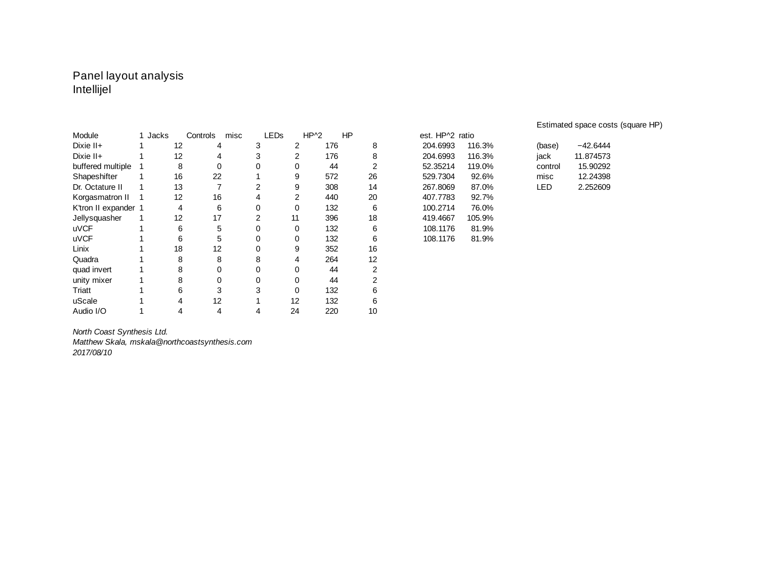## Panel layout analysis Intellijel

| Module               | 1 Jacks |    | Controls | misc | <b>LEDS</b> | $HP^2$ |     | HP |    | est. HP^2 ratio |        |            |            |
|----------------------|---------|----|----------|------|-------------|--------|-----|----|----|-----------------|--------|------------|------------|
| Dixie II+            |         | 12 | 4        |      | 3           | 2      | 176 |    | 8  | 204.6993        | 116.3% | (base)     | $-42.6444$ |
| Dixie II+            |         | 12 | 4        |      | 3           | 2      | 176 |    | 8  | 204.6993        | 116.3% | jack       | 11.874573  |
| buffered multiple    |         | 8  | 0        |      |             | 0      | 44  |    | 2  | 52.35214        | 119.0% | control    | 15.90292   |
| Shapeshifter         |         | 16 | 22       |      |             | 9      | 572 |    | 26 | 529.7304        | 92.6%  | misc       | 12.24398   |
| Dr. Octature II      |         | 13 |          |      | 2           | 9      | 308 |    | 14 | 267.8069        | 87.0%  | <b>LED</b> | 2.252609   |
| Korgasmatron II      |         | 12 | 16       |      | 4           | 2      | 440 |    | 20 | 407.7783        | 92.7%  |            |            |
| K'tron II expander 1 |         | 4  | 6        |      |             | 0      | 132 |    | 6  | 100.2714        | 76.0%  |            |            |
| Jellysquasher        |         | 12 | 17       |      |             | 11     | 396 |    | 18 | 419.4667        | 105.9% |            |            |
| <b>uVCF</b>          |         | 6  | 5        |      |             | 0      | 132 |    | 6  | 108.1176        | 81.9%  |            |            |
| <b>uVCF</b>          |         | 6  | 5        |      |             | 0      | 132 |    | 6  | 108.1176        | 81.9%  |            |            |
| Linix                |         | 18 | 12       |      |             | 9      | 352 |    | 16 |                 |        |            |            |
| Quadra               |         | 8  | 8        |      | 8           | 4      | 264 |    | 12 |                 |        |            |            |
| quad invert          |         | 8  | 0        |      |             | 0      | 44  |    |    |                 |        |            |            |
| unity mixer          |         | 8  | 0        |      |             | 0      | 44  |    |    |                 |        |            |            |
| Triatt               |         | 6  | 3        |      | 3           | 0      | 132 |    |    |                 |        |            |            |
| uScale               |         | 4  | 12       |      |             | 12     | 132 |    | 6  |                 |        |            |            |
| Audio I/O            |         | 4  | 4        |      | 4           | 24     | 220 |    | 10 |                 |        |            |            |

| est. HP^2 ratio    |  |
|--------------------|--|
|                    |  |
| 116.3%             |  |
| 116.3%             |  |
| 52.35214<br>119.0% |  |
| 92.6%              |  |
| 87.0%              |  |
| 92.7%              |  |
| 76.0%              |  |
| 105.9%             |  |
| 81.9%              |  |
|                    |  |

Estimated space costs (square HP)

| (base)  | $-42.6444$ |
|---------|------------|
| iack    | 11.874573  |
| control | 15.90292   |
| misc    | 12.24398   |
| LED     | 2.252609   |

*North Coast Synthesis Ltd. Matthew Skala, mskala@northcoastsynthesis.com 2017/08/10*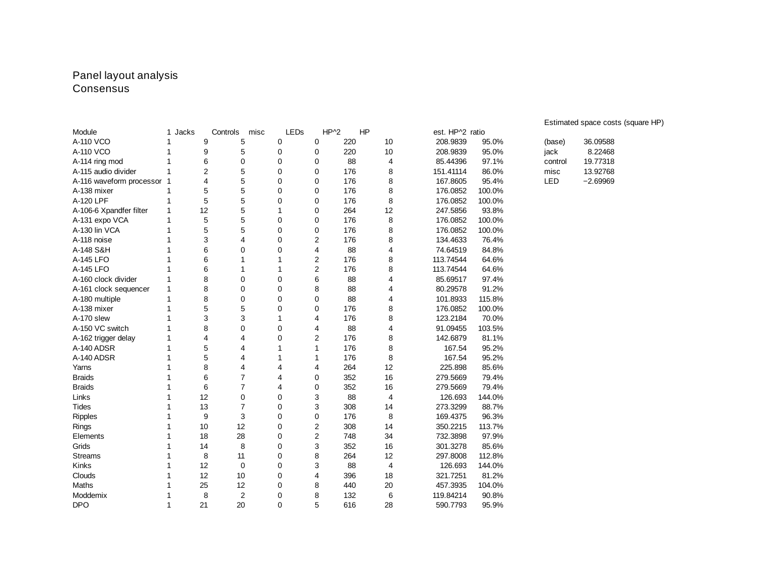#### Panel layout analysis Consensus

| Module                     | 1 Jacks      |                | Controls<br>misc | LEDS         |                | $HP^2$<br>HP |    | est. HP^2 ratio |        |            |            |  |
|----------------------------|--------------|----------------|------------------|--------------|----------------|--------------|----|-----------------|--------|------------|------------|--|
| A-110 VCO                  |              | 9              | 5                | 0            | 0              | 220          | 10 | 208.9839        | 95.0%  | (base)     | 36.09588   |  |
| A-110 VCO                  |              | 9              | 5                | 0            | 0              | 220          | 10 | 208.9839        | 95.0%  | jack       | 8.22468    |  |
| A-114 ring mod             |              | 6              | 0                | $\mathbf{0}$ | 0              | 88           | 4  | 85.44396        | 97.1%  | control    | 19.77318   |  |
| A-115 audio divider        | $\mathbf{1}$ | $\overline{c}$ | 5                | 0            | 0              | 176          | 8  | 151.41114       | 86.0%  | misc       | 13.92768   |  |
| A-116 waveform processor 1 |              | $\overline{4}$ | 5                | 0            | 0              | 176          | 8  | 167.8605        | 95.4%  | <b>LED</b> | $-2.69969$ |  |
| A-138 mixer                | 1            | 5              | 5                | 0            | 0              | 176          | 8  | 176.0852        | 100.0% |            |            |  |
| A-120 LPF                  | 1            | 5              | 5                | 0            | 0              | 176          | 8  | 176.0852        | 100.0% |            |            |  |
| A-106-6 Xpandfer filter    | $\mathbf{1}$ | 12             | 5                | 1            | 0              | 264          | 12 | 247.5856        | 93.8%  |            |            |  |
| A-131 expo VCA             | 1            | 5              | 5                | 0            | 0              | 176          | 8  | 176.0852        | 100.0% |            |            |  |
| A-130 lin VCA              |              | 5              | 5                | $\mathbf 0$  | 0              | 176          | 8  | 176.0852        | 100.0% |            |            |  |
| A-118 noise                |              | 3              | 4                | $\mathbf 0$  | $\overline{c}$ | 176          | 8  | 134.4633        | 76.4%  |            |            |  |
| A-148 S&H                  | 1            | 6              | 0                | 0            | 4              | 88           | 4  | 74.64519        | 84.8%  |            |            |  |
| A-145 LFO                  |              | 6              | $1\,$            | 1            | $\overline{2}$ | 176          | 8  | 113.74544       | 64.6%  |            |            |  |
| A-145 LFO                  |              | 6              | 1                | 1            | $\overline{2}$ | 176          | 8  | 113.74544       | 64.6%  |            |            |  |
| A-160 clock divider        | 1            | 8              | 0                | $\mathbf{0}$ | 6              | 88           | 4  | 85.69517        | 97.4%  |            |            |  |
| A-161 clock sequencer      | 1            | 8              | 0                | 0            | 8              | 88           | 4  | 80.29578        | 91.2%  |            |            |  |
| A-180 multiple             | 1            | 8              | 0                | $\Omega$     | 0              | 88           | 4  | 101.8933        | 115.8% |            |            |  |
| A-138 mixer                | 1            | 5              | 5                | 0            | 0              | 176          | 8  | 176.0852        | 100.0% |            |            |  |
| A-170 slew                 | 1            | 3              | 3                | 1            | 4              | 176          | 8  | 123.2184        | 70.0%  |            |            |  |
| A-150 VC switch            | 1            | 8              | 0                | 0            | 4              | 88           | 4  | 91.09455        | 103.5% |            |            |  |
| A-162 trigger delay        | 1            | $\overline{4}$ | 4                | 0            | $\overline{2}$ | 176          | 8  | 142.6879        | 81.1%  |            |            |  |
| A-140 ADSR                 | 1            | 5              | 4                | 1            | $\mathbf{1}$   | 176          | 8  | 167.54          | 95.2%  |            |            |  |
| A-140 ADSR                 | 1            | 5              | 4                | 1            | $\mathbf{1}$   | 176          | 8  | 167.54          | 95.2%  |            |            |  |
| Yarns                      | 1            | 8              | 4                | 4            | 4              | 264          | 12 | 225.898         | 85.6%  |            |            |  |
| <b>Braids</b>              |              | 6              | $\overline{7}$   | 4            | 0              | 352          | 16 | 279.5669        | 79.4%  |            |            |  |
| <b>Braids</b>              | 1            | 6              | $\overline{7}$   | 4            | 0              | 352          | 16 | 279.5669        | 79.4%  |            |            |  |
| Links                      | 1            | 12             | 0                | 0            | 3              | 88           | 4  | 126.693         | 144.0% |            |            |  |
| <b>Tides</b>               | 1            | 13             | 7                | $\mathbf 0$  | 3              | 308          | 14 | 273.3299        | 88.7%  |            |            |  |
| Ripples                    | 1            | 9              | 3                | 0            | 0              | 176          | 8  | 169.4375        | 96.3%  |            |            |  |
| Rings                      | 1            | 10             | 12               | $\mathbf 0$  | $\overline{c}$ | 308          | 14 | 350.2215        | 113.7% |            |            |  |
| Elements                   | 1            | 18             | 28               | 0            | $\overline{c}$ | 748          | 34 | 732.3898        | 97.9%  |            |            |  |
| Grids                      | 1            | 14             | 8                | 0            | 3              | 352          | 16 | 301.3278        | 85.6%  |            |            |  |
| <b>Streams</b>             | 1            | 8              | $11\,$           | 0            | 8              | 264          | 12 | 297.8008        | 112.8% |            |            |  |
| Kinks                      | $\mathbf{1}$ | 12             | 0                | 0            | 3              | 88           | 4  | 126.693         | 144.0% |            |            |  |
| Clouds                     | 1            | 12             | 10               | 0            | $\overline{4}$ | 396          | 18 | 321.7251        | 81.2%  |            |            |  |
| Maths                      | 1            | 25             | 12               | 0            | 8              | 440          | 20 | 457.3935        | 104.0% |            |            |  |
| Moddemix                   | 1            | 8              | $\overline{c}$   | 0            | 8              | 132          | 6  | 119.84214       | 90.8%  |            |            |  |
| <b>DPO</b>                 | 1            | 21             | 20               | $\Omega$     | 5              | 616          | 28 | 590.7793        | 95.9%  |            |            |  |

Estimated space costs (square HP)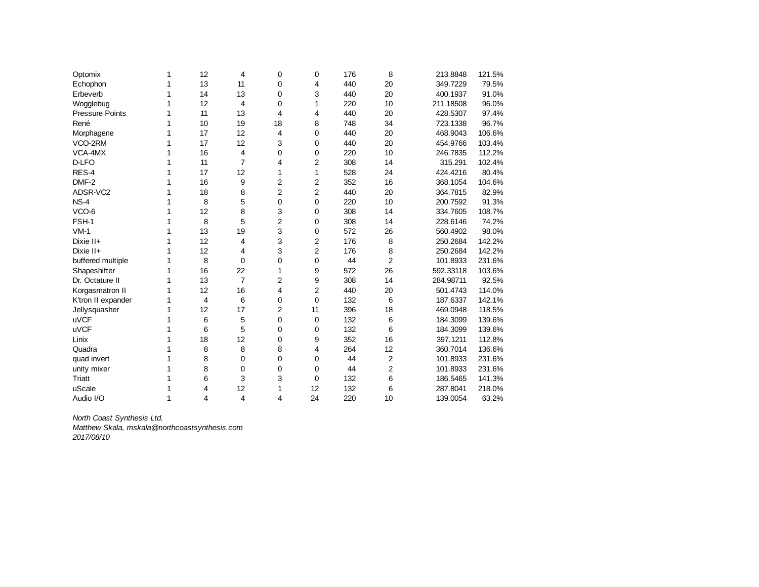| Optomix                | 1            | 12 | 4              | 0              | 0  | 176 | 8              | 213.8848  | 121.5% |
|------------------------|--------------|----|----------------|----------------|----|-----|----------------|-----------|--------|
| Echophon               | 1            | 13 | 11             | 0              | 4  | 440 | 20             | 349.7229  | 79.5%  |
| Erbeverb               | 1            | 14 | 13             | 0              | 3  | 440 | 20             | 400.1937  | 91.0%  |
| Wogglebug              | 1            | 12 | 4              | 0              | 1  | 220 | 10             | 211.18508 | 96.0%  |
| <b>Pressure Points</b> | 1            | 11 | 13             | 4              | 4  | 440 | 20             | 428.5307  | 97.4%  |
| René                   | 1            | 10 | 19             | 18             | 8  | 748 | 34             | 723.1338  | 96.7%  |
| Morphagene             | 1            | 17 | 12             | 4              | 0  | 440 | 20             | 468.9043  | 106.6% |
| VCO-2RM                | 1            | 17 | 12             | 3              | 0  | 440 | 20             | 454.9766  | 103.4% |
| VCA-4MX                | 1            | 16 | 4              | 0              | 0  | 220 | 10             | 246.7835  | 112.2% |
| D-LFO                  | 1            | 11 | $\overline{7}$ | 4              | 2  | 308 | 14             | 315.291   | 102.4% |
| RES-4                  | 1            | 17 | 12             | $\mathbf{1}$   | 1  | 528 | 24             | 424.4216  | 80.4%  |
| DMF-2                  | 1            | 16 | 9              | 2              | 2  | 352 | 16             | 368.1054  | 104.6% |
| ADSR-VC2               | 1            | 18 | 8              | $\overline{2}$ | 2  | 440 | 20             | 364.7815  | 82.9%  |
| $NS-4$                 | 1            | 8  | 5              | 0              | 0  | 220 | 10             | 200.7592  | 91.3%  |
| VCO-6                  | 1            | 12 | 8              | 3              | 0  | 308 | 14             | 334.7605  | 108.7% |
| FSH-1                  | 1            | 8  | 5              | $\overline{2}$ | 0  | 308 | 14             | 228.6146  | 74.2%  |
| $VM-1$                 | 1            | 13 | 19             | 3              | 0  | 572 | 26             | 560.4902  | 98.0%  |
| Dixie II+              | 1            | 12 | 4              | 3              | 2  | 176 | 8              | 250.2684  | 142.2% |
| Dixie II+              | 1            | 12 | 4              | 3              | 2  | 176 | 8              | 250.2684  | 142.2% |
| buffered multiple      | 1            | 8  | 0              | 0              | 0  | 44  | 2              | 101.8933  | 231.6% |
| Shapeshifter           | 1            | 16 | 22             | $\mathbf{1}$   | 9  | 572 | 26             | 592.33118 | 103.6% |
| Dr. Octature II        | 1            | 13 | $\overline{7}$ | 2              | 9  | 308 | 14             | 284.98711 | 92.5%  |
| Korgasmatron II        | 1            | 12 | 16             | 4              | 2  | 440 | 20             | 501.4743  | 114.0% |
| K'tron II expander     | 1            | 4  | 6              | 0              | 0  | 132 | 6              | 187.6337  | 142.1% |
| Jellysquasher          | 1            | 12 | 17             | $\overline{2}$ | 11 | 396 | 18             | 469.0948  | 118.5% |
| <b>uVCF</b>            | 1            | 6  | 5              | 0              | 0  | 132 | 6              | 184.3099  | 139.6% |
| <b>uVCF</b>            | 1            | 6  | 5              | 0              | 0  | 132 | 6              | 184.3099  | 139.6% |
| Linix                  | 1            | 18 | 12             | $\mathbf 0$    | 9  | 352 | 16             | 397.1211  | 112.8% |
| <b>Quadra</b>          | 1            | 8  | 8              | 8              | 4  | 264 | 12             | 360.7014  | 136.6% |
| quad invert            | 1            | 8  | 0              | 0              | 0  | 44  | $\overline{c}$ | 101.8933  | 231.6% |
| unity mixer            | 1            | 8  | 0              | 0              | 0  | 44  | 2              | 101.8933  | 231.6% |
| Triatt                 | 1            | 6  | 3              | 3              | 0  | 132 | 6              | 186.5465  | 141.3% |
| uScale                 | 1            | 4  | 12             | 1              | 12 | 132 | 6              | 287.8041  | 218.0% |
| Audio I/O              | $\mathbf{1}$ | 4  | 4              | 4              | 24 | 220 | 10             | 139.0054  | 63.2%  |

*North Coast Synthesis Ltd. Matthew Skala, mskala@northcoastsynthesis.com*

*2017/08/10*